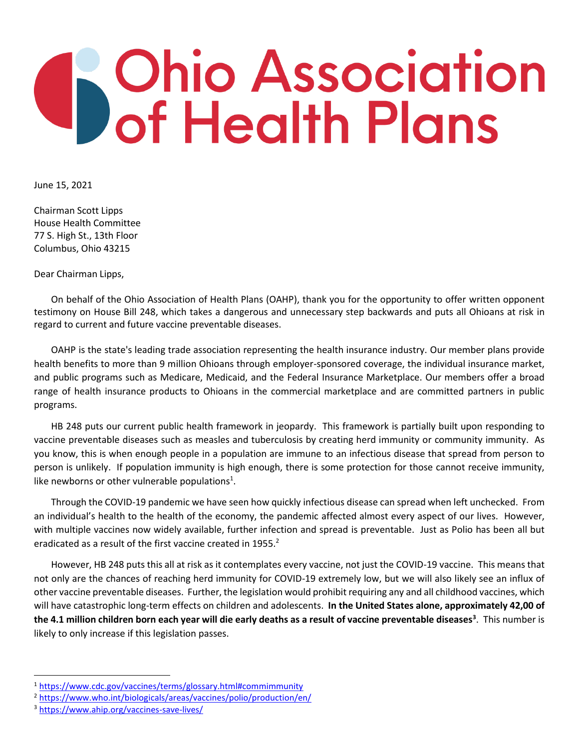## **S** Ohio Association<br>Of Health Plans

June 15, 2021

Chairman Scott Lipps House Health Committee 77 S. High St., 13th Floor Columbus, Ohio 43215

Dear Chairman Lipps,

On behalf of the Ohio Association of Health Plans (OAHP), thank you for the opportunity to offer written opponent testimony on House Bill 248, which takes a dangerous and unnecessary step backwards and puts all Ohioans at risk in regard to current and future vaccine preventable diseases.

OAHP is the state's leading trade association representing the health insurance industry. Our member plans provide health benefits to more than 9 million Ohioans through employer-sponsored coverage, the individual insurance market, and public programs such as Medicare, Medicaid, and the Federal Insurance Marketplace. Our members offer a broad range of health insurance products to Ohioans in the commercial marketplace and are committed partners in public programs.

HB 248 puts our current public health framework in jeopardy. This framework is partially built upon responding to vaccine preventable diseases such as measles and tuberculosis by creating herd immunity or community immunity. As you know, this is when enough people in a population are immune to an infectious disease that spread from person to person is unlikely. If population immunity is high enough, there is some protection for those cannot receive immunity, like newborns or other vulnerable populations<sup>1</sup>.

Through the COVID-19 pandemic we have seen how quickly infectious disease can spread when left unchecked. From an individual's health to the health of the economy, the pandemic affected almost every aspect of our lives. However, with multiple vaccines now widely available, further infection and spread is preventable. Just as Polio has been all but eradicated as a result of the first vaccine created in 1955.<sup>2</sup>

However, HB 248 puts this all at risk as it contemplates every vaccine, not just the COVID-19 vaccine. This means that not only are the chances of reaching herd immunity for COVID-19 extremely low, but we will also likely see an influx of other vaccine preventable diseases. Further, the legislation would prohibit requiring any and all childhood vaccines, which will have catastrophic long-term effects on children and adolescents. **In the United States alone, approximately 42,00 of the 4.1 million children born each year will die early deaths as a result of vaccine preventable diseases<sup>3</sup>** . This number is likely to only increase if this legislation passes.

<sup>1</sup> <https://www.cdc.gov/vaccines/terms/glossary.html#commimmunity>

<sup>&</sup>lt;sup>2</sup> <https://www.who.int/biologicals/areas/vaccines/polio/production/en/>

<sup>3</sup> <https://www.ahip.org/vaccines-save-lives/>